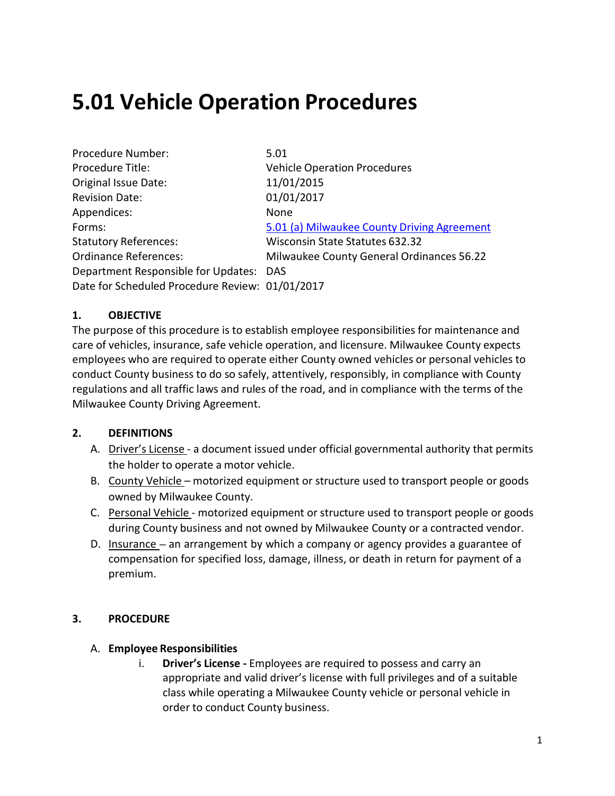# **5.01 Vehicle Operation Procedures**

| Procedure Number:                               | 5.01                                        |
|-------------------------------------------------|---------------------------------------------|
| Procedure Title:                                | <b>Vehicle Operation Procedures</b>         |
| Original Issue Date:                            | 11/01/2015                                  |
| <b>Revision Date:</b>                           | 01/01/2017                                  |
| Appendices:                                     | None                                        |
| Forms:                                          | 5.01 (a) Milwaukee County Driving Agreement |
| <b>Statutory References:</b>                    | Wisconsin State Statutes 632.32             |
| <b>Ordinance References:</b>                    | Milwaukee County General Ordinances 56.22   |
| Department Responsible for Updates: DAS         |                                             |
| Date for Scheduled Procedure Review: 01/01/2017 |                                             |

## **1. OBJECTIVE**

The purpose of this procedure is to establish employee responsibilities for maintenance and care of vehicles, insurance, safe vehicle operation, and licensure. Milwaukee County expects employees who are required to operate either County owned vehicles or personal vehicles to conduct County business to do so safely, attentively, responsibly, in compliance with County regulations and all traffic laws and rules of the road, and in compliance with the terms of the Milwaukee County Driving Agreement.

## **2. DEFINITIONS**

- A. Driver's License a document issued under official governmental authority that permits the holder to operate a motor vehicle.
- B. County Vehicle motorized equipment or structure used to transport people or goods owned by Milwaukee County.
- C. Personal Vehicle motorized equipment or structure used to transport people or goods during County business and not owned by Milwaukee County or a contracted vendor.
- D. Insurance **–** an arrangement by which a company or agency provides a guarantee of compensation for specified loss, damage, illness, or death in return for payment of a premium.

## **3. PROCEDURE**

## A. **Employee Responsibilities**

i. **Driver's License -** Employees are required to possess and carry an appropriate and valid driver's license with full privileges and of a suitable class while operating a Milwaukee County vehicle or personal vehicle in order to conduct County business.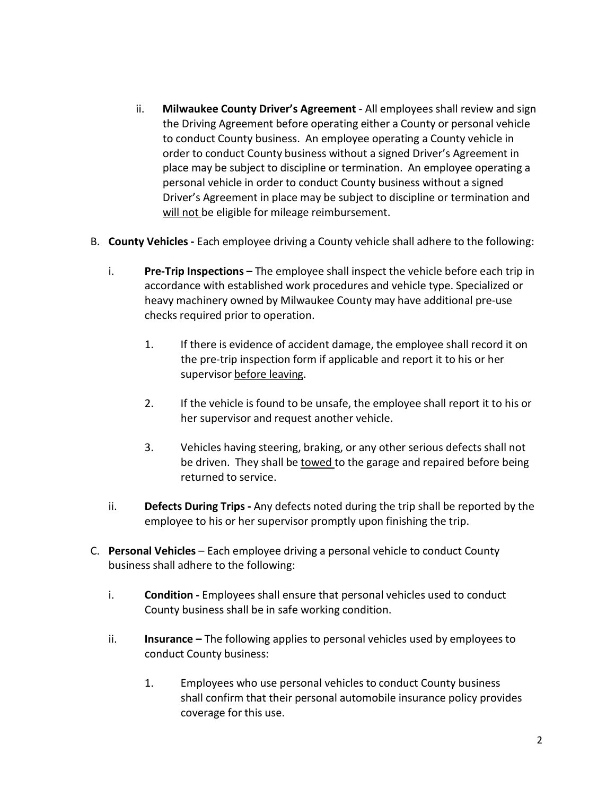- ii. **Milwaukee County Driver's Agreement** All employees shall review and sign the Driving Agreement before operating either a County or personal vehicle to conduct County business. An employee operating a County vehicle in order to conduct County business without a signed Driver's Agreement in place may be subject to discipline or termination. An employee operating a personal vehicle in order to conduct County business without a signed Driver's Agreement in place may be subject to discipline or termination and will not be eligible for mileage reimbursement.
- B. **County Vehicles -** Each employee driving a County vehicle shall adhere to the following:
	- i. **Pre-Trip Inspections –** The employee shall inspect the vehicle before each trip in accordance with established work procedures and vehicle type. Specialized or heavy machinery owned by Milwaukee County may have additional pre-use checks required prior to operation.
		- 1. If there is evidence of accident damage, the employee shall record it on the pre-trip inspection form if applicable and report it to his or her supervisor before leaving.
		- 2. If the vehicle is found to be unsafe, the employee shall report it to his or her supervisor and request another vehicle.
		- 3. Vehicles having steering, braking, or any other serious defects shall not be driven. They shall be towed to the garage and repaired before being returned to service.
	- ii. **Defects During Trips -** Any defects noted during the trip shall be reported by the employee to his or her supervisor promptly upon finishing the trip.
- C. **Personal Vehicles** Each employee driving a personal vehicle to conduct County business shall adhere to the following:
	- i. **Condition -** Employees shall ensure that personal vehicles used to conduct County business shall be in safe working condition.
	- ii. **Insurance –** The following applies to personal vehicles used by employees to conduct County business:
		- 1. Employees who use personal vehicles to conduct County business shall confirm that their personal automobile insurance policy provides coverage for this use.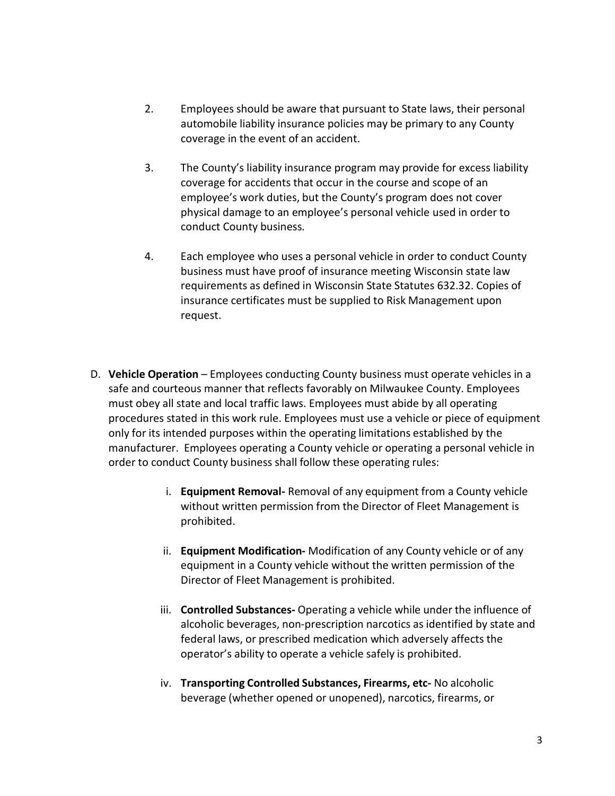- 2. Employees should be aware that pursuant to State laws, their personal automobile liability insurance policies may be primary to any County coverage in the event of an accident.
- 3. The County's liability insurance program may provide for excess liability coverage for accidents that occur in the course and scope of an employee's work duties, but the County's program does not cover physical damage to an employee's personal vehicle used in order to conduct County business.
- 4. Each employee who uses a personal vehicle in order to conduct County business must have proof of insurance meeting Wisconsin state law requirements as defined in Wisconsin State Statutes 632.32. Copies of insurance certificates must be supplied to Risk Management upon request.
- D. **Vehicle Operation** Employees conducting County business must operate vehicles in a safe and courteous manner that reflects favorably on Milwaukee County. Employees must obey all state and local traffic laws. Employees must abide by all operating procedures stated in this work rule. Employees must use a vehicle or piece of equipment only for its intended purposes within the operating limitations established by the manufacturer. Employees operating a County vehicle or operating a personal vehicle in order to conduct County business shall follow these operating rules:
	- i. **Equipment Removal-** Removal of any equipment from a County vehicle without written permission from the Director of Fleet Management is prohibited.
	- ii. **Equipment Modification-** Modification of any County vehicle or of any equipment in a County vehicle without the written permission of the Director of Fleet Management is prohibited.
	- iii. **Controlled Substances-** Operating a vehicle while under the influence of alcoholic beverages, non-prescription narcotics as identified by state and federal laws, or prescribed medication which adversely affects the operator's ability to operate a vehicle safely is prohibited.
	- iv. **Transporting Controlled Substances, Firearms, etc-** No alcoholic beverage (whether opened or unopened), narcotics, firearms, or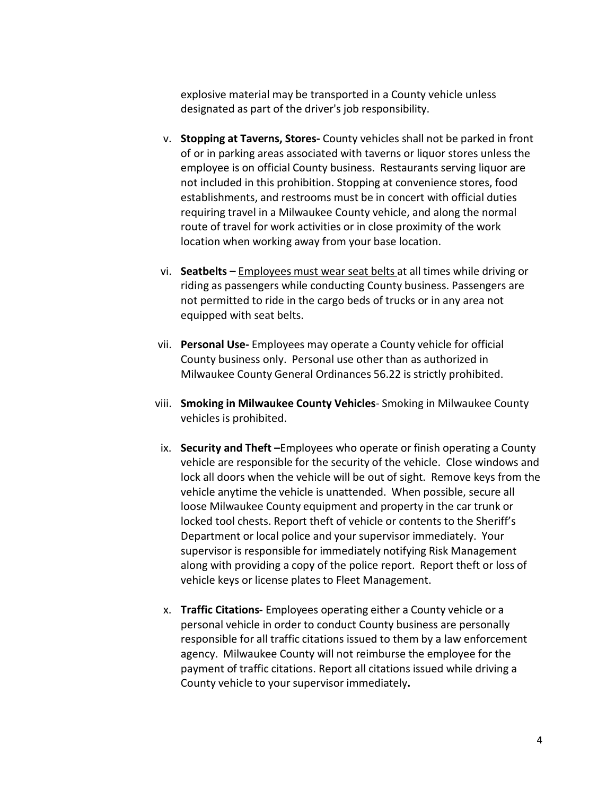explosive material may be transported in a County vehicle unless designated as part of the driver's job responsibility.

- v. **Stopping at Taverns, Stores-** County vehicles shall not be parked in front of or in parking areas associated with taverns or liquor stores unless the employee is on official County business. Restaurants serving liquor are not included in this prohibition. Stopping at convenience stores, food establishments, and restrooms must be in concert with official duties requiring travel in a Milwaukee County vehicle, and along the normal route of travel for work activities or in close proximity of the work location when working away from your base location.
- vi. **Seatbelts –** Employees must wear seat belts at all times while driving or riding as passengers while conducting County business. Passengers are not permitted to ride in the cargo beds of trucks or in any area not equipped with seat belts.
- vii. **Personal Use-** Employees may operate a County vehicle for official County business only. Personal use other than as authorized in Milwaukee County General Ordinances 56.22 is strictly prohibited.
- viii. **Smoking in Milwaukee County Vehicles** Smoking in Milwaukee County vehicles is prohibited.
- ix. **Security and Theft –**Employees who operate or finish operating a County vehicle are responsible for the security of the vehicle. Close windows and lock all doors when the vehicle will be out of sight. Remove keys from the vehicle anytime the vehicle is unattended. When possible, secure all loose Milwaukee County equipment and property in the car trunk or locked tool chests. Report theft of vehicle or contents to the Sheriff's Department or local police and your supervisor immediately. Your supervisor is responsible for immediately notifying Risk Management along with providing a copy of the police report. Report theft or loss of vehicle keys or license plates to Fleet Management.
- x. **Traffic Citations-** Employees operating either a County vehicle or a personal vehicle in order to conduct County business are personally responsible for all traffic citations issued to them by a law enforcement agency. Milwaukee County will not reimburse the employee for the payment of traffic citations. Report all citations issued while driving a County vehicle to your supervisor immediately**.**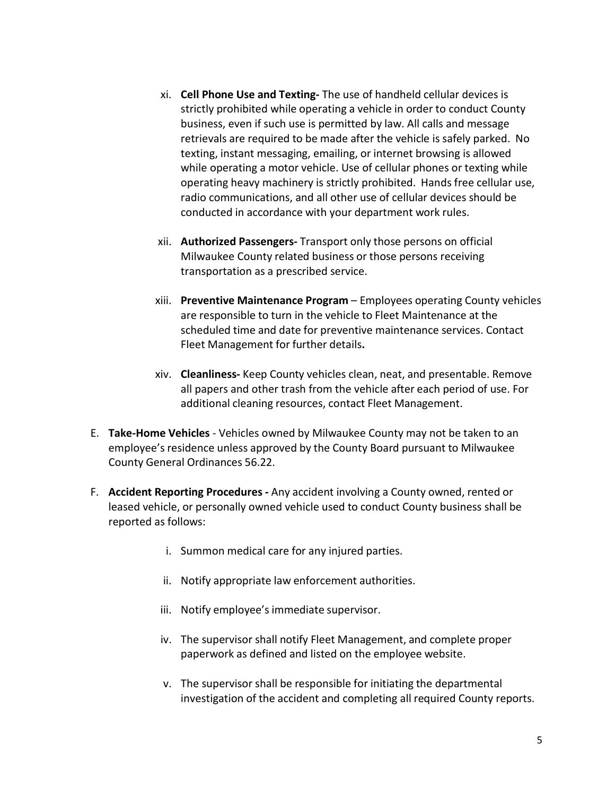- xi. **Cell Phone Use and Texting-** The use of handheld cellular devices is strictly prohibited while operating a vehicle in order to conduct County business, even if such use is permitted by law. All calls and message retrievals are required to be made after the vehicle is safely parked. No texting, instant messaging, emailing, or internet browsing is allowed while operating a motor vehicle. Use of cellular phones or texting while operating heavy machinery is strictly prohibited. Hands free cellular use, radio communications, and all other use of cellular devices should be conducted in accordance with your department work rules.
- xii. **Authorized Passengers-** Transport only those persons on official Milwaukee County related business or those persons receiving transportation as a prescribed service.
- xiii. **Preventive Maintenance Program** Employees operating County vehicles are responsible to turn in the vehicle to Fleet Maintenance at the scheduled time and date for preventive maintenance services. Contact Fleet Management for further details**.**
- xiv. **Cleanliness-** Keep County vehicles clean, neat, and presentable. Remove all papers and other trash from the vehicle after each period of use. For additional cleaning resources, contact Fleet Management.
- E. **Take-Home Vehicles** Vehicles owned by Milwaukee County may not be taken to an employee's residence unless approved by the County Board pursuant to Milwaukee County General Ordinances 56.22.
- F. **Accident Reporting Procedures -** Any accident involving a County owned, rented or leased vehicle, or personally owned vehicle used to conduct County business shall be reported as follows:
	- i. Summon medical care for any injured parties.
	- ii. Notify appropriate law enforcement authorities.
	- iii. Notify employee's immediate supervisor.
	- iv. The supervisor shall notify Fleet Management, and complete proper paperwork as defined and listed on the employee website.
	- v. The supervisor shall be responsible for initiating the departmental investigation of the accident and completing all required County reports.